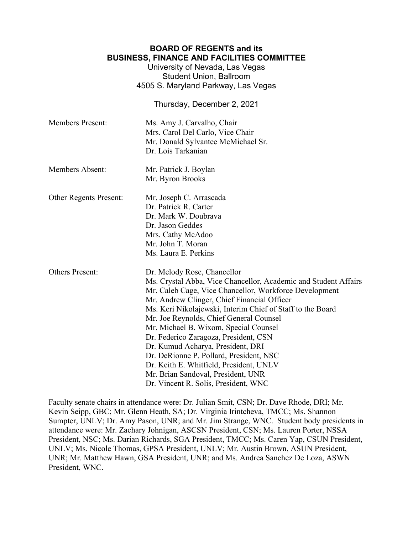## **BOARD OF REGENTS and its BUSINESS, FINANCE AND FACILITIES COMMITTEE**

University of Nevada, Las Vegas Student Union, Ballroom 4505 S. Maryland Parkway, Las Vegas

Thursday, December 2, 2021

| <b>Members Present:</b> | Ms. Amy J. Carvalho, Chair<br>Mrs. Carol Del Carlo, Vice Chair<br>Mr. Donald Sylvantee McMichael Sr.<br>Dr. Lois Tarkanian                                                                                                                                                                                                                                                                                                                                                                                                                                                                                  |
|-------------------------|-------------------------------------------------------------------------------------------------------------------------------------------------------------------------------------------------------------------------------------------------------------------------------------------------------------------------------------------------------------------------------------------------------------------------------------------------------------------------------------------------------------------------------------------------------------------------------------------------------------|
| <b>Members Absent:</b>  | Mr. Patrick J. Boylan<br>Mr. Byron Brooks                                                                                                                                                                                                                                                                                                                                                                                                                                                                                                                                                                   |
| Other Regents Present:  | Mr. Joseph C. Arrascada<br>Dr. Patrick R. Carter<br>Dr. Mark W. Doubrava<br>Dr. Jason Geddes<br>Mrs. Cathy McAdoo<br>Mr. John T. Moran<br>Ms. Laura E. Perkins                                                                                                                                                                                                                                                                                                                                                                                                                                              |
| <b>Others Present:</b>  | Dr. Melody Rose, Chancellor<br>Ms. Crystal Abba, Vice Chancellor, Academic and Student Affairs<br>Mr. Caleb Cage, Vice Chancellor, Workforce Development<br>Mr. Andrew Clinger, Chief Financial Officer<br>Ms. Keri Nikolajewski, Interim Chief of Staff to the Board<br>Mr. Joe Reynolds, Chief General Counsel<br>Mr. Michael B. Wixom, Special Counsel<br>Dr. Federico Zaragoza, President, CSN<br>Dr. Kumud Acharya, President, DRI<br>Dr. DeRionne P. Pollard, President, NSC<br>Dr. Keith E. Whitfield, President, UNLV<br>Mr. Brian Sandoval, President, UNR<br>Dr. Vincent R. Solis, President, WNC |

Faculty senate chairs in attendance were: Dr. Julian Smit, CSN; Dr. Dave Rhode, DRI; Mr. Kevin Seipp, GBC; Mr. Glenn Heath, SA; Dr. Virginia Irintcheva, TMCC; Ms. Shannon Sumpter, UNLV; Dr. Amy Pason, UNR; and Mr. Jim Strange, WNC. Student body presidents in attendance were: Mr. Zachary Johnigan, ASCSN President, CSN; Ms. Lauren Porter, NSSA President, NSC; Ms. Darian Richards, SGA President, TMCC; Ms. Caren Yap, CSUN President, UNLV; Ms. Nicole Thomas, GPSA President, UNLV; Mr. Austin Brown, ASUN President, UNR; Mr. Matthew Hawn, GSA President, UNR; and Ms. Andrea Sanchez De Loza, ASWN President, WNC.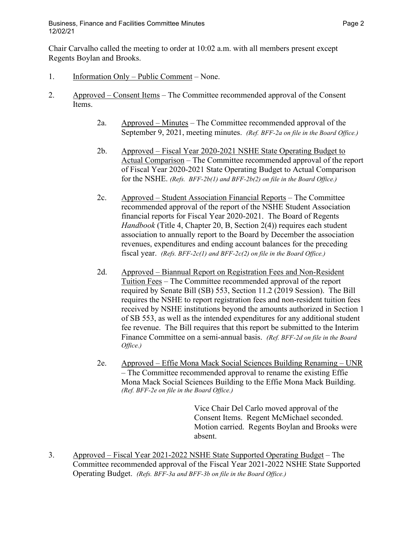Chair Carvalho called the meeting to order at 10:02 a.m. with all members present except Regents Boylan and Brooks.

- 1. Information Only Public Comment None.
- 2. Approved Consent Items The Committee recommended approval of the Consent Items.
	- 2a. Approved Minutes The Committee recommended approval of the September 9, 2021, meeting minutes. *(Ref. BFF-2a on file in the Board Office.)*
	- 2b. Approved Fiscal Year 2020-2021 NSHE State Operating Budget to Actual Comparison – The Committee recommended approval of the report of Fiscal Year 2020-2021 State Operating Budget to Actual Comparison for the NSHE. *(Refs. BFF-2b(1) and BFF-2b(2) on file in the Board Office.)*
	- 2c. Approved Student Association Financial Reports The Committee recommended approval of the report of the NSHE Student Association financial reports for Fiscal Year 2020-2021. The Board of Regents *Handbook* (Title 4, Chapter 20, B, Section 2(4)) requires each student association to annually report to the Board by December the association revenues, expenditures and ending account balances for the preceding fiscal year. *(Refs. BFF-2c(1) and BFF-2c(2) on file in the Board Office.)*
	- 2d. Approved Biannual Report on Registration Fees and Non-Resident Tuition Fees – The Committee recommended approval of the report required by Senate Bill (SB) 553, Section 11.2 (2019 Session). The Bill requires the NSHE to report registration fees and non-resident tuition fees received by NSHE institutions beyond the amounts authorized in Section 1 of SB 553, as well as the intended expenditures for any additional student fee revenue. The Bill requires that this report be submitted to the Interim Finance Committee on a semi-annual basis. *(Ref. BFF-2d on file in the Board Office.)*
	- 2e. Approved Effie Mona Mack Social Sciences Building Renaming UNR – The Committee recommended approval to rename the existing Effie Mona Mack Social Sciences Building to the Effie Mona Mack Building. *(Ref. BFF-2e on file in the Board Office.)*

Vice Chair Del Carlo moved approval of the Consent Items. Regent McMichael seconded. Motion carried. Regents Boylan and Brooks were absent.

3. Approved – Fiscal Year 2021-2022 NSHE State Supported Operating Budget – The Committee recommended approval of the Fiscal Year 2021-2022 NSHE State Supported Operating Budget. *(Refs. BFF-3a and BFF-3b on file in the Board Office.)*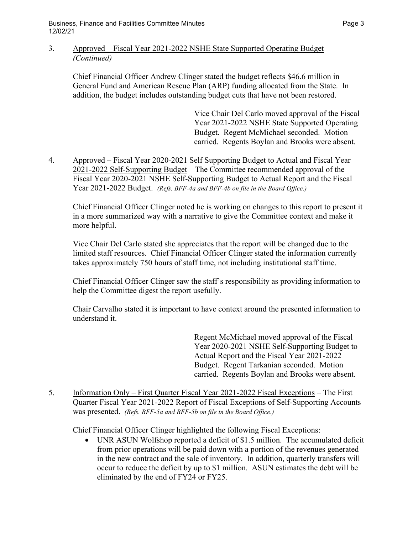3. Approved – Fiscal Year 2021-2022 NSHE State Supported Operating Budget – *(Continued)*

Chief Financial Officer Andrew Clinger stated the budget reflects \$46.6 million in General Fund and American Rescue Plan (ARP) funding allocated from the State. In addition, the budget includes outstanding budget cuts that have not been restored.

> Vice Chair Del Carlo moved approval of the Fiscal Year 2021-2022 NSHE State Supported Operating Budget. Regent McMichael seconded. Motion carried. Regents Boylan and Brooks were absent.

4. Approved – Fiscal Year 2020-2021 Self Supporting Budget to Actual and Fiscal Year 2021-2022 Self-Supporting Budget – The Committee recommended approval of the Fiscal Year 2020-2021 NSHE Self-Supporting Budget to Actual Report and the Fiscal Year 2021-2022 Budget. *(Refs. BFF-4a and BFF-4b on file in the Board Office.)*

Chief Financial Officer Clinger noted he is working on changes to this report to present it in a more summarized way with a narrative to give the Committee context and make it more helpful.

Vice Chair Del Carlo stated she appreciates that the report will be changed due to the limited staff resources. Chief Financial Officer Clinger stated the information currently takes approximately 750 hours of staff time, not including institutional staff time.

Chief Financial Officer Clinger saw the staff's responsibility as providing information to help the Committee digest the report usefully.

Chair Carvalho stated it is important to have context around the presented information to understand it.

> Regent McMichael moved approval of the Fiscal Year 2020-2021 NSHE Self-Supporting Budget to Actual Report and the Fiscal Year 2021-2022 Budget. Regent Tarkanian seconded. Motion carried. Regents Boylan and Brooks were absent.

5. Information Only – First Quarter Fiscal Year 2021-2022 Fiscal Exceptions – The First Quarter Fiscal Year 2021-2022 Report of Fiscal Exceptions of Self-Supporting Accounts was presented. *(Refs. BFF-5a and BFF-5b on file in the Board Office.)* 

Chief Financial Officer Clinger highlighted the following Fiscal Exceptions:

• UNR ASUN Wolfshop reported a deficit of \$1.5 million. The accumulated deficit from prior operations will be paid down with a portion of the revenues generated in the new contract and the sale of inventory. In addition, quarterly transfers will occur to reduce the deficit by up to \$1 million. ASUN estimates the debt will be eliminated by the end of FY24 or FY25.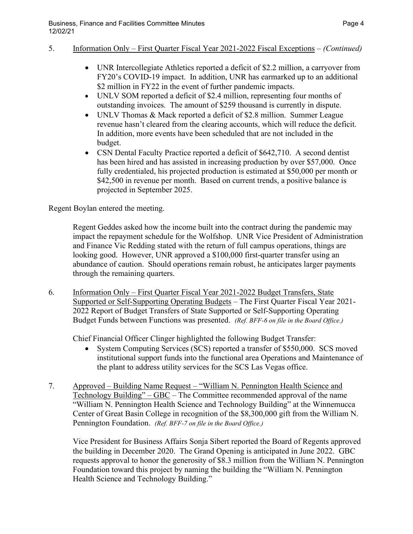## 5. Information Only – First Quarter Fiscal Year 2021-2022 Fiscal Exceptions – *(Continued)*

- UNR Intercollegiate Athletics reported a deficit of \$2.2 million, a carryover from FY20's COVID-19 impact. In addition, UNR has earmarked up to an additional \$2 million in FY22 in the event of further pandemic impacts.
- UNLV SOM reported a deficit of \$2.4 million, representing four months of outstanding invoices. The amount of \$259 thousand is currently in dispute.
- UNLV Thomas & Mack reported a deficit of \$2.8 million. Summer League revenue hasn't cleared from the clearing accounts, which will reduce the deficit. In addition, more events have been scheduled that are not included in the budget.
- CSN Dental Faculty Practice reported a deficit of \$642,710. A second dentist has been hired and has assisted in increasing production by over \$57,000. Once fully credentialed, his projected production is estimated at \$50,000 per month or \$42,500 in revenue per month. Based on current trends, a positive balance is projected in September 2025.

Regent Boylan entered the meeting.

Regent Geddes asked how the income built into the contract during the pandemic may impact the repayment schedule for the Wolfshop. UNR Vice President of Administration and Finance Vic Redding stated with the return of full campus operations, things are looking good. However, UNR approved a \$100,000 first-quarter transfer using an abundance of caution. Should operations remain robust, he anticipates larger payments through the remaining quarters.

6. Information Only – First Quarter Fiscal Year 2021-2022 Budget Transfers, State Supported or Self-Supporting Operating Budgets – The First Quarter Fiscal Year 2021- 2022 Report of Budget Transfers of State Supported or Self-Supporting Operating Budget Funds between Functions was presented. *(Ref. BFF-6 on file in the Board Office.)* 

Chief Financial Officer Clinger highlighted the following Budget Transfer:

- System Computing Services (SCS) reported a transfer of \$550,000. SCS moved institutional support funds into the functional area Operations and Maintenance of the plant to address utility services for the SCS Las Vegas office.
- 7. Approved Building Name Request "William N. Pennington Health Science and Technology Building" – GBC – The Committee recommended approval of the name "William N. Pennington Health Science and Technology Building" at the Winnemucca Center of Great Basin College in recognition of the \$8,300,000 gift from the William N. Pennington Foundation. *(Ref. BFF-7 on file in the Board Office.)*

Vice President for Business Affairs Sonja Sibert reported the Board of Regents approved the building in December 2020. The Grand Opening is anticipated in June 2022. GBC requests approval to honor the generosity of \$8.3 million from the William N. Pennington Foundation toward this project by naming the building the "William N. Pennington Health Science and Technology Building."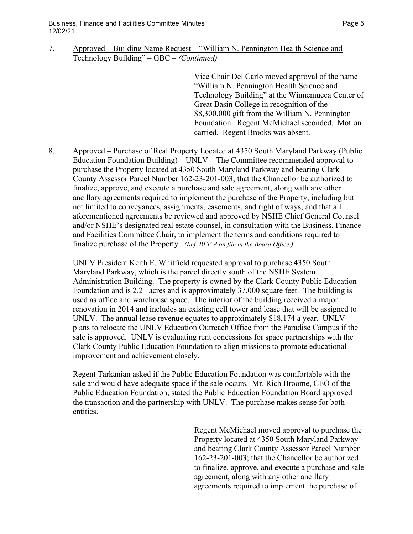Business, Finance and Facilities Committee Minutes **Page 1** and the state of the Page 5 12/02/21

# 7. Approved – Building Name Request – "William N. Pennington Health Science and Technology Building" – GBC – *(Continued)*

Vice Chair Del Carlo moved approval of the name "William N. Pennington Health Science and Technology Building" at the Winnemucca Center of Great Basin College in recognition of the \$8,300,000 gift from the William N. Pennington Foundation. Regent McMichael seconded. Motion carried. Regent Brooks was absent.

8. Approved – Purchase of Real Property Located at 4350 South Maryland Parkway (Public Education Foundation Building) – UNLV – The Committee recommended approval to purchase the Property located at 4350 South Maryland Parkway and bearing Clark County Assessor Parcel Number 162-23-201-003; that the Chancellor be authorized to finalize, approve, and execute a purchase and sale agreement, along with any other ancillary agreements required to implement the purchase of the Property, including but not limited to conveyances, assignments, easements, and right of ways; and that all aforementioned agreements be reviewed and approved by NSHE Chief General Counsel and/or NSHE's designated real estate counsel, in consultation with the Business, Finance and Facilities Committee Chair, to implement the terms and conditions required to finalize purchase of the Property. *(Ref. BFF-8 on file in the Board Office.)* 

UNLV President Keith E. Whitfield requested approval to purchase 4350 South Maryland Parkway, which is the parcel directly south of the NSHE System Administration Building. The property is owned by the Clark County Public Education Foundation and is 2.21 acres and is approximately 37,000 square feet. The building is used as office and warehouse space. The interior of the building received a major renovation in 2014 and includes an existing cell tower and lease that will be assigned to UNLV. The annual lease revenue equates to approximately \$18,174 a year. UNLV plans to relocate the UNLV Education Outreach Office from the Paradise Campus if the sale is approved. UNLV is evaluating rent concessions for space partnerships with the Clark County Public Education Foundation to align missions to promote educational improvement and achievement closely.

Regent Tarkanian asked if the Public Education Foundation was comfortable with the sale and would have adequate space if the sale occurs. Mr. Rich Broome, CEO of the Public Education Foundation, stated the Public Education Foundation Board approved the transaction and the partnership with UNLV. The purchase makes sense for both entities.

> Regent McMichael moved approval to purchase the Property located at 4350 South Maryland Parkway and bearing Clark County Assessor Parcel Number 162-23-201-003; that the Chancellor be authorized to finalize, approve, and execute a purchase and sale agreement, along with any other ancillary agreements required to implement the purchase of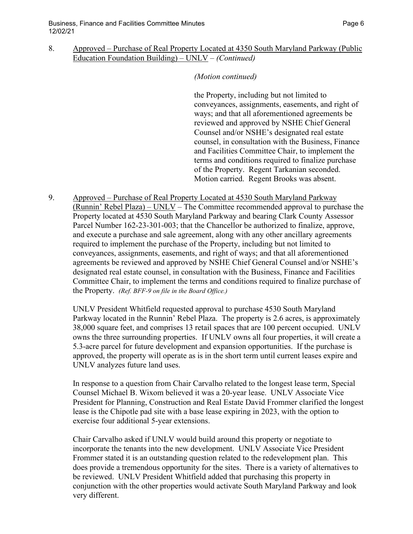## 8. Approved – Purchase of Real Property Located at 4350 South Maryland Parkway (Public Education Foundation Building) – UNLV – *(Continued)*

#### *(Motion continued)*

the Property, including but not limited to conveyances, assignments, easements, and right of ways; and that all aforementioned agreements be reviewed and approved by NSHE Chief General Counsel and/or NSHE's designated real estate counsel, in consultation with the Business, Finance and Facilities Committee Chair, to implement the terms and conditions required to finalize purchase of the Property. Regent Tarkanian seconded. Motion carried. Regent Brooks was absent.

9. Approved – Purchase of Real Property Located at 4530 South Maryland Parkway (Runnin' Rebel Plaza) – UNLV – The Committee recommended approval to purchase the Property located at 4530 South Maryland Parkway and bearing Clark County Assessor Parcel Number 162-23-301-003; that the Chancellor be authorized to finalize, approve, and execute a purchase and sale agreement, along with any other ancillary agreements required to implement the purchase of the Property, including but not limited to conveyances, assignments, easements, and right of ways; and that all aforementioned agreements be reviewed and approved by NSHE Chief General Counsel and/or NSHE's designated real estate counsel, in consultation with the Business, Finance and Facilities Committee Chair, to implement the terms and conditions required to finalize purchase of the Property. *(Ref. BFF-9 on file in the Board Office.)* 

UNLV President Whitfield requested approval to purchase 4530 South Maryland Parkway located in the Runnin' Rebel Plaza. The property is 2.6 acres, is approximately 38,000 square feet, and comprises 13 retail spaces that are 100 percent occupied. UNLV owns the three surrounding properties. If UNLV owns all four properties, it will create a 5.3-acre parcel for future development and expansion opportunities. If the purchase is approved, the property will operate as is in the short term until current leases expire and UNLV analyzes future land uses.

In response to a question from Chair Carvalho related to the longest lease term, Special Counsel Michael B. Wixom believed it was a 20-year lease. UNLV Associate Vice President for Planning, Construction and Real Estate David Frommer clarified the longest lease is the Chipotle pad site with a base lease expiring in 2023, with the option to exercise four additional 5-year extensions.

Chair Carvalho asked if UNLV would build around this property or negotiate to incorporate the tenants into the new development. UNLV Associate Vice President Frommer stated it is an outstanding question related to the redevelopment plan. This does provide a tremendous opportunity for the sites. There is a variety of alternatives to be reviewed. UNLV President Whitfield added that purchasing this property in conjunction with the other properties would activate South Maryland Parkway and look very different.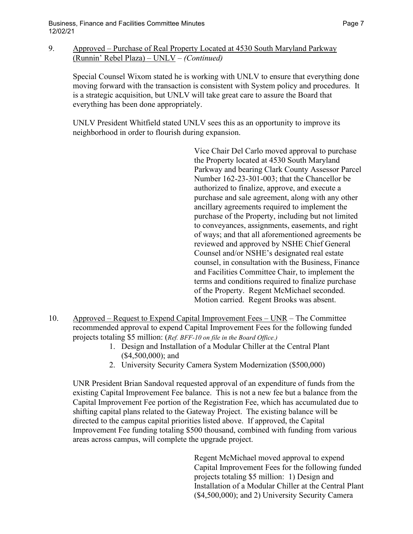9. Approved – Purchase of Real Property Located at 4530 South Maryland Parkway (Runnin' Rebel Plaza) – UNLV – *(Continued)*

Special Counsel Wixom stated he is working with UNLV to ensure that everything done moving forward with the transaction is consistent with System policy and procedures. It is a strategic acquisition, but UNLV will take great care to assure the Board that everything has been done appropriately.

UNLV President Whitfield stated UNLV sees this as an opportunity to improve its neighborhood in order to flourish during expansion.

> Vice Chair Del Carlo moved approval to purchase the Property located at 4530 South Maryland Parkway and bearing Clark County Assessor Parcel Number 162-23-301-003; that the Chancellor be authorized to finalize, approve, and execute a purchase and sale agreement, along with any other ancillary agreements required to implement the purchase of the Property, including but not limited to conveyances, assignments, easements, and right of ways; and that all aforementioned agreements be reviewed and approved by NSHE Chief General Counsel and/or NSHE's designated real estate counsel, in consultation with the Business, Finance and Facilities Committee Chair, to implement the terms and conditions required to finalize purchase of the Property. Regent McMichael seconded. Motion carried. Regent Brooks was absent.

- 10. Approved Request to Expend Capital Improvement Fees UNR The Committee recommended approval to expend Capital Improvement Fees for the following funded projects totaling \$5 million: (*Ref. BFF-10 on file in the Board Office.)*
	- 1. Design and Installation of a Modular Chiller at the Central Plant (\$4,500,000); and
	- 2. University Security Camera System Modernization (\$500,000)

UNR President Brian Sandoval requested approval of an expenditure of funds from the existing Capital Improvement Fee balance. This is not a new fee but a balance from the Capital Improvement Fee portion of the Registration Fee, which has accumulated due to shifting capital plans related to the Gateway Project. The existing balance will be directed to the campus capital priorities listed above. If approved, the Capital Improvement Fee funding totaling \$500 thousand, combined with funding from various areas across campus, will complete the upgrade project.

> Regent McMichael moved approval to expend Capital Improvement Fees for the following funded projects totaling \$5 million: 1) Design and Installation of a Modular Chiller at the Central Plant (\$4,500,000); and 2) University Security Camera